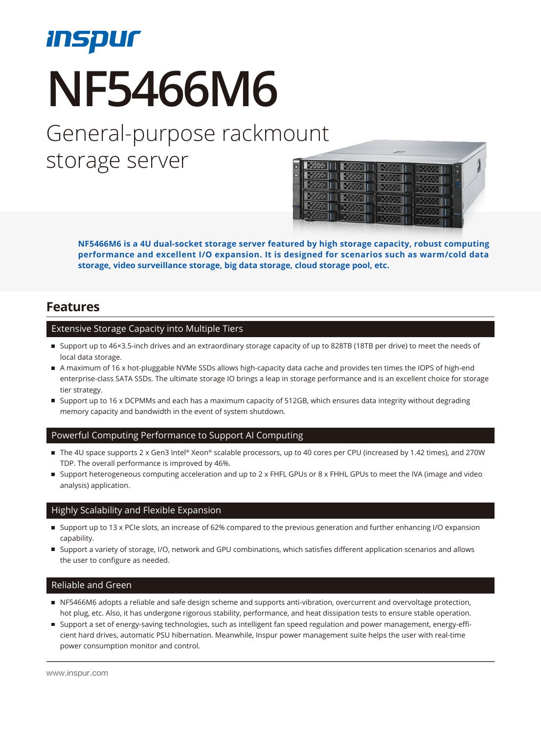

# **NF5466M6**

## General-purpose rackmount storage server



**NF5466M6 is a 4U dual-socket storage server featured by high storage capacity, robust computing performance and excellent I/O expansion. It is designed for scenarios such as warm/cold data storage, video surveillance storage, big data storage, cloud storage pool, etc.** 

#### **Features**

#### Extensive Storage Capacity into Multiple Tiers

- Support up to 46×3.5-inch drives and an extraordinary storage capacity of up to 828TB (18TB per drive) to meet the needs of local data storage.
- A maximum of 16 x hot-pluggable NVMe SSDs allows high-capacity data cache and provides ten times the IOPS of high-end enterprise-class SATA SSDs. The ultimate storage IO brings a leap in storage performance and is an excellent choice for storage tier strategy.
- Support up to 16 x DCPMMs and each has a maximum capacity of 512GB, which ensures data integrity without degrading memory capacity and bandwidth in the event of system shutdown.

#### Powerful Computing Performance to Support AI Computing

- The 4U space supports 2 x Gen3 Intel® Xeon® scalable processors, up to 40 cores per CPU (increased by 1.42 times), and 270W TDP. The overall performance is improved by 46%.
- Support heterogeneous computing acceleration and up to 2 x FHFL GPUs or 8 x FHHL GPUs to meet the IVA (image and video analysis) application.

#### Highly Scalability and Flexible Expansion

- Support up to 13 x PCIe slots, an increase of 62% compared to the previous generation and further enhancing I/O expansion capability.
- Support a variety of storage, I/O, network and GPU combinations, which satisfies different application scenarios and allows the user to configure as needed.

#### Reliable and Green

- NF5466M6 adopts a reliable and safe design scheme and supports anti-vibration, overcurrent and overvoltage protection, hot plug, etc. Also, it has undergone rigorous stability, performance, and heat dissipation tests to ensure stable operation.
- Support a set of energy-saving technologies, such as intelligent fan speed regulation and power management, energy-efficient hard drives, automatic PSU hibernation. Meanwhile, Inspur power management suite helps the user with real-time power consumption monitor and control.